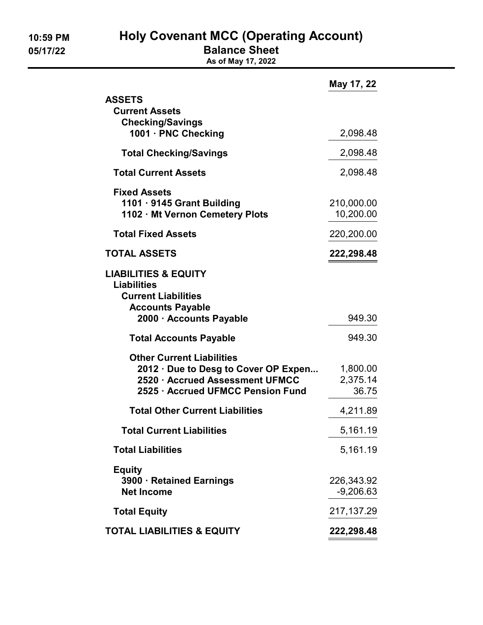10:59 PM Holy Covenant MCC (Operating Account)

05/17/22 **Balance Sheet** 

As of May 17, 2022

|                                                                                                                                           | May 17, 22                    |
|-------------------------------------------------------------------------------------------------------------------------------------------|-------------------------------|
| <b>ASSETS</b><br><b>Current Assets</b><br><b>Checking/Savings</b>                                                                         |                               |
| 1001 · PNC Checking                                                                                                                       | 2,098.48                      |
| <b>Total Checking/Savings</b>                                                                                                             | 2,098.48                      |
| <b>Total Current Assets</b>                                                                                                               | 2,098.48                      |
| <b>Fixed Assets</b><br>1101 · 9145 Grant Building<br>1102 · Mt Vernon Cemetery Plots                                                      | 210,000.00<br>10,200.00       |
| <b>Total Fixed Assets</b>                                                                                                                 | 220,200.00                    |
| <b>TOTAL ASSETS</b>                                                                                                                       | 222,298.48                    |
| <b>LIABILITIES &amp; EQUITY</b><br><b>Liabilities</b><br><b>Current Liabilities</b><br><b>Accounts Payable</b><br>2000 · Accounts Payable | 949.30                        |
| <b>Total Accounts Payable</b>                                                                                                             | 949.30                        |
| <b>Other Current Liabilities</b>                                                                                                          |                               |
| 2012 · Due to Desg to Cover OP Expen<br>2520 · Accrued Assessment UFMCC<br>2525 · Accrued UFMCC Pension Fund                              | 1,800.00<br>2,375.14<br>36.75 |
| <b>Total Other Current Liabilities</b>                                                                                                    | 4,211.89                      |
| <b>Total Current Liabilities</b>                                                                                                          | 5,161.19                      |
| <b>Total Liabilities</b>                                                                                                                  | 5,161.19                      |
| <b>Equity</b><br>3900 · Retained Earnings<br><b>Net Income</b>                                                                            | 226,343.92<br>$-9,206.63$     |
| <b>Total Equity</b>                                                                                                                       | 217, 137. 29                  |
| <b>TOTAL LIABILITIES &amp; EQUITY</b>                                                                                                     | 222,298.48                    |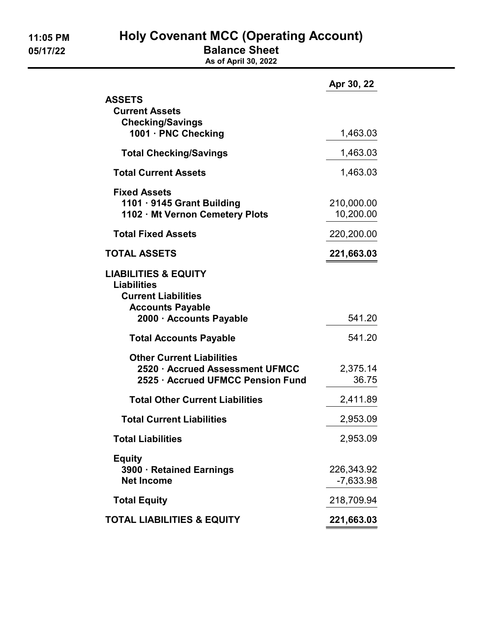11:05 PM Holy Covenant MCC (Operating Account)

05/17/22 **Balance Sheet** 

As of April 30, 2022

|                                                                                                                                           | Apr 30, 22              |
|-------------------------------------------------------------------------------------------------------------------------------------------|-------------------------|
| <b>ASSETS</b><br><b>Current Assets</b><br><b>Checking/Savings</b>                                                                         |                         |
| 1001 · PNC Checking                                                                                                                       | 1,463.03                |
| <b>Total Checking/Savings</b>                                                                                                             | 1,463.03                |
| <b>Total Current Assets</b>                                                                                                               | 1,463.03                |
| <b>Fixed Assets</b><br>1101 · 9145 Grant Building<br>1102 · Mt Vernon Cemetery Plots                                                      | 210,000.00<br>10,200.00 |
| <b>Total Fixed Assets</b>                                                                                                                 | 220,200.00              |
| <b>TOTAL ASSETS</b>                                                                                                                       | 221,663.03              |
| <b>LIABILITIES &amp; EQUITY</b><br><b>Liabilities</b><br><b>Current Liabilities</b><br><b>Accounts Payable</b><br>2000 · Accounts Payable | 541.20                  |
| <b>Total Accounts Payable</b>                                                                                                             | 541.20                  |
|                                                                                                                                           |                         |
| <b>Other Current Liabilities</b><br>2520 · Accrued Assessment UFMCC<br>2525 · Accrued UFMCC Pension Fund                                  | 2,375.14<br>36.75       |
| <b>Total Other Current Liabilities</b>                                                                                                    | 2,411.89                |
| <b>Total Current Liabilities</b>                                                                                                          | 2,953.09                |
| <b>Total Liabilities</b>                                                                                                                  | 2,953.09                |
| <b>Equity</b><br>3900 · Retained Earnings<br><b>Net Income</b>                                                                            | 226,343.92<br>-7,633.98 |
| <b>Total Equity</b>                                                                                                                       | 218,709.94              |
| <b>TOTAL LIABILITIES &amp; EQUITY</b>                                                                                                     | 221,663.03              |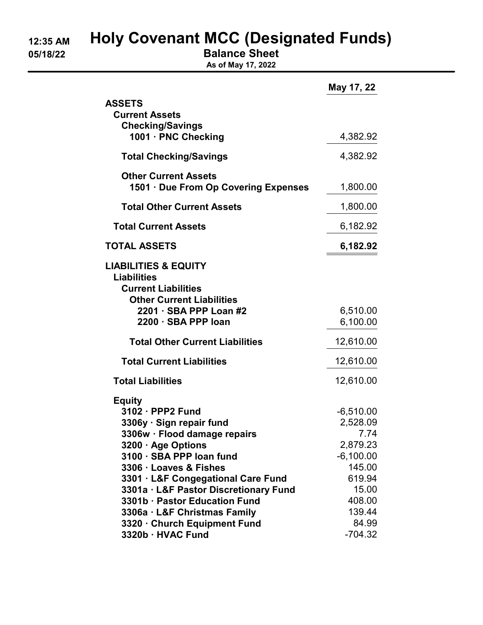# 12:35 AM Holy Covenant MCC (Designated Funds)

05/18/22 Balance Sheet

As of May 17, 2022

|                                                                     | May 17, 22           |
|---------------------------------------------------------------------|----------------------|
| <b>ASSETS</b><br><b>Current Assets</b>                              |                      |
| <b>Checking/Savings</b>                                             |                      |
| 1001 · PNC Checking                                                 | 4,382.92             |
| <b>Total Checking/Savings</b>                                       | 4,382.92             |
| <b>Other Current Assets</b><br>1501 · Due From Op Covering Expenses | 1,800.00             |
| <b>Total Other Current Assets</b>                                   | 1,800.00             |
| <b>Total Current Assets</b>                                         | 6,182.92             |
| <b>TOTAL ASSETS</b>                                                 | 6,182.92             |
| <b>LIABILITIES &amp; EQUITY</b>                                     |                      |
| <b>Liabilities</b>                                                  |                      |
| <b>Current Liabilities</b>                                          |                      |
| <b>Other Current Liabilities</b><br>2201 · SBA PPP Loan #2          |                      |
| 2200 · SBA PPP loan                                                 | 6,510.00<br>6,100.00 |
|                                                                     |                      |
| <b>Total Other Current Liabilities</b>                              | 12,610.00            |
| <b>Total Current Liabilities</b>                                    | 12,610.00            |
| <b>Total Liabilities</b>                                            | 12,610.00            |
| <b>Equity</b>                                                       |                      |
| 3102 · PPP2 Fund                                                    | $-6,510.00$          |
| 3306y · Sign repair fund                                            | 2,528.09             |
| 3306w · Flood damage repairs                                        | 7.74                 |
| 3200 · Age Options                                                  | 2,879.23             |
| 3100 · SBA PPP loan fund                                            | $-6,100.00$          |
| 3306 · Loaves & Fishes                                              | 145.00               |
| 3301 · L&F Congegational Care Fund                                  | 619.94               |
| 3301a · L&F Pastor Discretionary Fund                               | 15.00                |
| 3301b · Pastor Education Fund                                       | 408.00               |
| 3306a · L&F Christmas Family                                        | 139.44               |
| 3320 · Church Equipment Fund                                        | 84.99                |
| 3320b · HVAC Fund                                                   | $-704.32$            |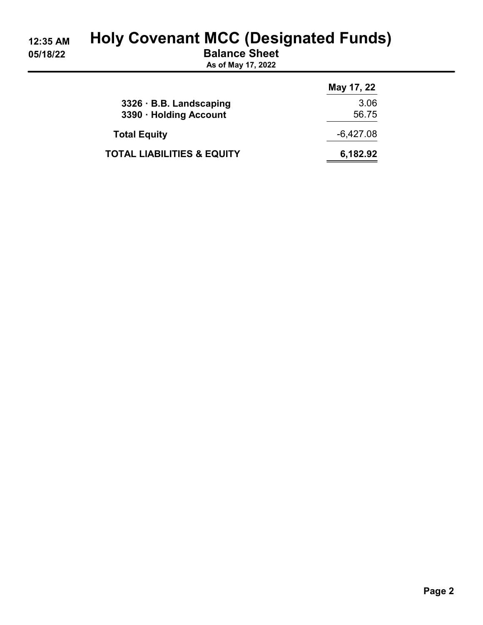# 12:35 AM Holy Covenant MCC (Designated Funds)

05/18/22 Balance Sheet

As of May 17, 2022

|                                       | May 17, 22  |
|---------------------------------------|-------------|
| 3326 · B.B. Landscaping               | 3.06        |
| 3390 · Holding Account                | 56.75       |
| <b>Total Equity</b>                   | $-6,427.08$ |
| <b>TOTAL LIABILITIES &amp; EQUITY</b> | 6,182.92    |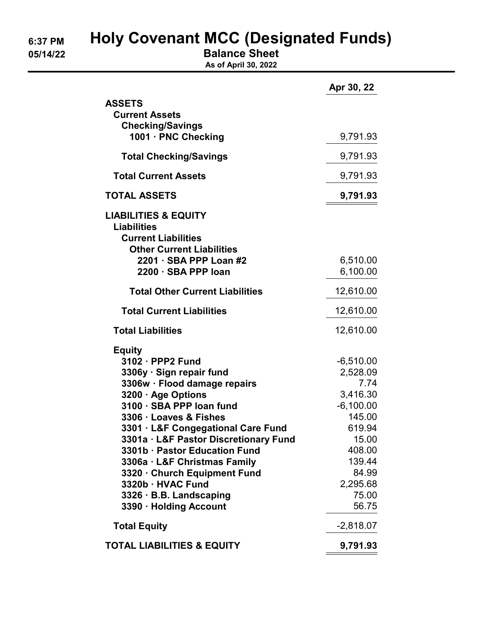# 6:37 PM Holy Covenant MCC (Designated Funds)

05/14/22 Balance Sheet

As of April 30, 2022

|                                                                                                                                                                                                                                                                                                                                                                                                                                     | Apr 30, 22                                                                                                                                         |
|-------------------------------------------------------------------------------------------------------------------------------------------------------------------------------------------------------------------------------------------------------------------------------------------------------------------------------------------------------------------------------------------------------------------------------------|----------------------------------------------------------------------------------------------------------------------------------------------------|
| <b>ASSETS</b><br><b>Current Assets</b>                                                                                                                                                                                                                                                                                                                                                                                              |                                                                                                                                                    |
| <b>Checking/Savings</b>                                                                                                                                                                                                                                                                                                                                                                                                             |                                                                                                                                                    |
| 1001 · PNC Checking                                                                                                                                                                                                                                                                                                                                                                                                                 | 9,791.93                                                                                                                                           |
| <b>Total Checking/Savings</b>                                                                                                                                                                                                                                                                                                                                                                                                       | 9,791.93                                                                                                                                           |
| <b>Total Current Assets</b>                                                                                                                                                                                                                                                                                                                                                                                                         | 9,791.93                                                                                                                                           |
| <b>TOTAL ASSETS</b>                                                                                                                                                                                                                                                                                                                                                                                                                 | 9,791.93                                                                                                                                           |
| <b>LIABILITIES &amp; EQUITY</b><br><b>Liabilities</b><br><b>Current Liabilities</b><br><b>Other Current Liabilities</b>                                                                                                                                                                                                                                                                                                             |                                                                                                                                                    |
| 2201 · SBA PPP Loan #2<br>2200 · SBA PPP loan                                                                                                                                                                                                                                                                                                                                                                                       | 6,510.00<br>6,100.00                                                                                                                               |
| <b>Total Other Current Liabilities</b>                                                                                                                                                                                                                                                                                                                                                                                              | 12,610.00                                                                                                                                          |
| <b>Total Current Liabilities</b>                                                                                                                                                                                                                                                                                                                                                                                                    | 12,610.00                                                                                                                                          |
| <b>Total Liabilities</b>                                                                                                                                                                                                                                                                                                                                                                                                            | 12,610.00                                                                                                                                          |
| <b>Equity</b><br>3102 · PPP2 Fund<br>3306y · Sign repair fund<br>3306w · Flood damage repairs<br>3200 · Age Options<br>3100 · SBA PPP loan fund<br>3306 · Loaves & Fishes<br>3301 · L&F Congegational Care Fund<br>3301a · L&F Pastor Discretionary Fund<br>3301b · Pastor Education Fund<br>3306a · L&F Christmas Family<br>3320 · Church Equipment Fund<br>3320b · HVAC Fund<br>3326 · B.B. Landscaping<br>3390 · Holding Account | $-6,510.00$<br>2,528.09<br>7.74<br>3,416.30<br>$-6,100.00$<br>145.00<br>619.94<br>15.00<br>408.00<br>139.44<br>84.99<br>2,295.68<br>75.00<br>56.75 |
| <b>Total Equity</b>                                                                                                                                                                                                                                                                                                                                                                                                                 | $-2,818.07$                                                                                                                                        |
| <b>TOTAL LIABILITIES &amp; EQUITY</b>                                                                                                                                                                                                                                                                                                                                                                                               | 9,791.93                                                                                                                                           |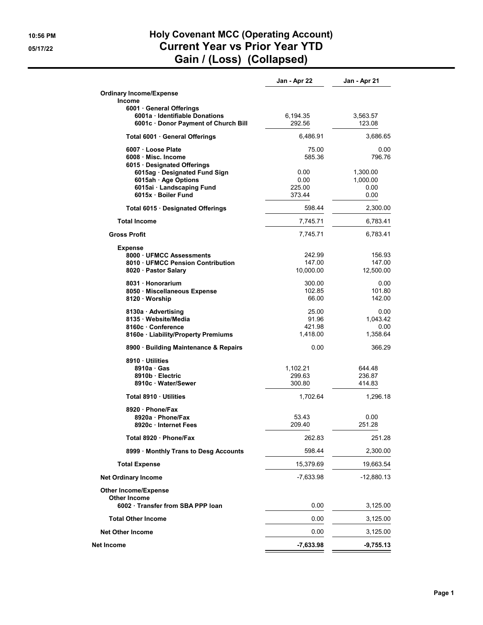#### 10:56 PM **Holy Covenant MCC (Operating Account)** 05/17/22 Current Year vs Prior Year YTD Gain / (Loss) (Collapsed)

|                                                  | Jan - Apr 22     | Jan - Apr 21   |
|--------------------------------------------------|------------------|----------------|
| <b>Ordinary Income/Expense</b><br>Income         |                  |                |
| 6001 General Offerings                           |                  |                |
| 6001a · Identifiable Donations                   | 6,194.35         | 3,563.57       |
| 6001c · Donor Payment of Church Bill             | 292.56           | 123.08         |
| Total 6001 · General Offerings                   | 6,486.91         | 3,686.65       |
| 6007 Loose Plate                                 | 75.00            | 0.00           |
| 6008 Misc. Income                                | 585.36           | 796.76         |
| 6015 Designated Offerings                        |                  |                |
| 6015ag · Designated Fund Sign                    | 0.00             | 1,300.00       |
| 6015ah · Age Options                             | 0.00             | 1,000.00       |
| 6015ai · Landscaping Fund<br>6015x · Boiler Fund | 225.00<br>373.44 | 0.00<br>0.00   |
|                                                  |                  |                |
| Total 6015 · Designated Offerings                | 598.44           | 2,300.00       |
| <b>Total Income</b>                              | 7,745.71         | 6,783.41       |
| <b>Gross Profit</b>                              | 7,745.71         | 6,783.41       |
| Expense<br>8000 UFMCC Assessments                | 242.99           | 156.93         |
| 8010 UFMCC Pension Contribution                  | 147.00           | 147.00         |
| 8020 · Pastor Salary                             | 10,000.00        | 12,500.00      |
|                                                  |                  |                |
| 8031 Honorarium                                  | 300.00           | 0.00           |
| 8050 Miscellaneous Expense                       | 102.85           | 101.80         |
| 8120 · Worship                                   | 66.00            | 142.00         |
| 8130a · Advertising                              | 25.00            | 0.00           |
| 8135 · Website/Media                             | 91.96            | 1,043.42       |
| 8160c Conference                                 | 421.98           | 0.00           |
| 8160e Liability/Property Premiums                | 1,418.00         | 1,358.64       |
| 8900 · Building Maintenance & Repairs            | 0.00             | 366.29         |
| 8910 Utilities                                   |                  |                |
| 8910a · Gas                                      | 1,102.21         | 644.48         |
| 8910b Electric                                   | 299.63           | 236.87         |
| 8910c · Water/Sewer                              | 300.80           | 414.83         |
| Total 8910 Utilities                             | 1,702.64         | 1,296.18       |
| 8920 · Phone/Fax                                 |                  |                |
| 8920a · Phone/Fax<br>8920c · Internet Fees       | 53.43<br>209.40  | 0.00<br>251.28 |
| Total 8920 · Phone/Fax                           | 262.83           | 251.28         |
| 8999 Monthly Trans to Desg Accounts              | 598.44           | 2,300.00       |
| <b>Total Expense</b>                             | 15,379.69        | 19,663.54      |
| <b>Net Ordinary Income</b>                       | $-7,633.98$      | $-12,880.13$   |
| <b>Other Income/Expense</b><br>Other Income      |                  |                |
| 6002 · Transfer from SBA PPP loan                | 0.00             | 3,125.00       |
| <b>Total Other Income</b>                        | 0.00             | 3,125.00       |
| <b>Net Other Income</b>                          | 0.00             | 3,125.00       |
| Net Income                                       | -7,633.98        | $-9,755.13$    |
|                                                  |                  |                |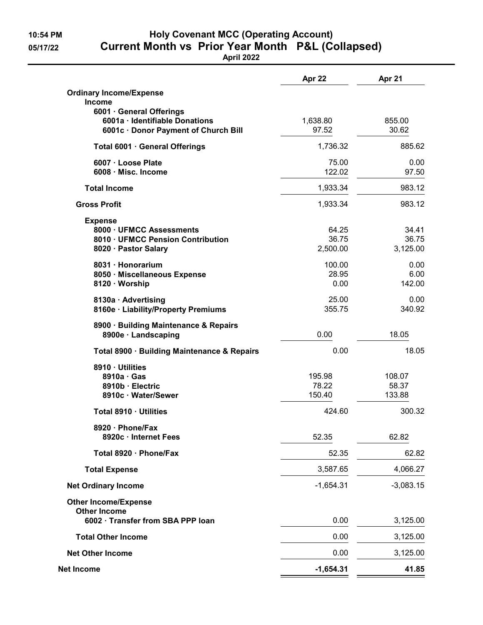## 10:54 PM Holy Covenant MCC (Operating Account) 05/17/22 Current Month vs Prior Year Month P&L (Collapsed)

April 2022

|                                                          | Apr 22      | Apr 21      |
|----------------------------------------------------------|-------------|-------------|
| <b>Ordinary Income/Expense</b>                           |             |             |
| <b>Income</b><br>6001 · General Offerings                |             |             |
| 6001a · Identifiable Donations                           | 1,638.80    | 855.00      |
| 6001c · Donor Payment of Church Bill                     | 97.52       | 30.62       |
| Total 6001 · General Offerings                           | 1,736.32    | 885.62      |
| 6007 · Loose Plate                                       | 75.00       | 0.00        |
| 6008 · Misc. Income                                      | 122.02      | 97.50       |
| <b>Total Income</b>                                      | 1,933.34    | 983.12      |
| <b>Gross Profit</b>                                      | 1,933.34    | 983.12      |
| <b>Expense</b>                                           |             |             |
| 8000 · UFMCC Assessments                                 | 64.25       | 34.41       |
| 8010 · UFMCC Pension Contribution                        | 36.75       | 36.75       |
| 8020 · Pastor Salary                                     | 2,500.00    | 3,125.00    |
| 8031 · Honorarium                                        | 100.00      | 0.00        |
| 8050 · Miscellaneous Expense                             | 28.95       | 6.00        |
| 8120 · Worship                                           | 0.00        | 142.00      |
| 8130a · Advertising                                      | 25.00       | 0.00        |
| 8160e · Liability/Property Premiums                      | 355.75      | 340.92      |
| 8900 · Building Maintenance & Repairs                    |             |             |
| 8900e · Landscaping                                      | 0.00        | 18.05       |
| Total 8900 · Building Maintenance & Repairs              | 0.00        | 18.05       |
| 8910 · Utilities                                         |             |             |
| 8910a · Gas                                              | 195.98      | 108.07      |
| 8910b · Electric                                         | 78.22       | 58.37       |
| 8910c · Water/Sewer                                      | 150.40      | 133.88      |
| Total 8910 · Utilities                                   | 424.60      | 300.32      |
| 8920 · Phone/Fax<br>8920c · Internet Fees                | 52.35       | 62.82       |
| Total 8920 · Phone/Fax                                   | 52.35       | 62.82       |
|                                                          |             |             |
| <b>Total Expense</b>                                     | 3,587.65    | 4,066.27    |
| <b>Net Ordinary Income</b>                               | $-1,654.31$ | $-3,083.15$ |
| <b>Other Income/Expense</b>                              |             |             |
| <b>Other Income</b><br>6002 · Transfer from SBA PPP loan | 0.00        | 3,125.00    |
| <b>Total Other Income</b>                                | 0.00        | 3,125.00    |
| <b>Net Other Income</b>                                  | 0.00        | 3,125.00    |
|                                                          |             |             |
| Net Income                                               | $-1,654.31$ | 41.85       |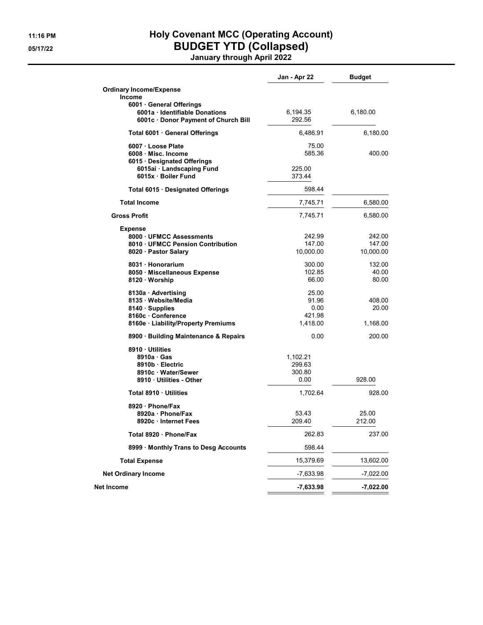## 11:16 PM **Holy Covenant MCC (Operating Account)** 05/17/22 BUDGET YTD (Collapsed)

January through April 2022

|                                       | Jan - Apr 22 | <b>Budget</b> |
|---------------------------------------|--------------|---------------|
| <b>Ordinary Income/Expense</b>        |              |               |
| Income                                |              |               |
| 6001 General Offerings                |              |               |
| 6001a Identifiable Donations          | 6,194.35     | 6,180.00      |
| 6001c · Donor Payment of Church Bill  | 292.56       |               |
| Total 6001 · General Offerings        | 6,486.91     | 6,180.00      |
| 6007 · Loose Plate                    | 75.00        |               |
| 6008 Misc. Income                     | 585.36       | 400.00        |
| 6015 · Designated Offerings           |              |               |
| 6015ai · Landscaping Fund             | 225.00       |               |
| 6015x · Boiler Fund                   | 373.44       |               |
| Total 6015 · Designated Offerings     | 598.44       |               |
| <b>Total Income</b>                   | 7,745.71     | 6,580.00      |
| <b>Gross Profit</b>                   | 7,745.71     | 6,580.00      |
| <b>Expense</b>                        |              |               |
| 8000 UFMCC Assessments                | 242.99       | 242.00        |
| 8010 UFMCC Pension Contribution       | 147.00       | 147.00        |
| 8020 · Pastor Salary                  | 10,000.00    | 10,000.00     |
| 8031 Honorarium                       | 300.00       | 132.00        |
| 8050 · Miscellaneous Expense          | 102.85       | 40.00         |
| 8120 Worship                          | 66.00        | 80.00         |
| 8130a · Advertising                   | 25.00        |               |
| 8135 · Website/Media                  | 91.96        | 408.00        |
| 8140 · Supplies                       | 0.00         | 20.00         |
| 8160c Conference                      | 421.98       |               |
| 8160e · Liability/Property Premiums   | 1,418.00     | 1,168.00      |
| 8900 · Building Maintenance & Repairs | 0.00         | 200.00        |
| 8910 Utilities                        |              |               |
| 8910a Gas                             | 1,102.21     |               |
| 8910b Electric                        | 299.63       |               |
| 8910c · Water/Sewer                   | 300.80       |               |
| 8910 Utilities - Other                | 0.00         | 928.00        |
| Total 8910 Utilities                  | 1,702.64     | 928.00        |
| 8920 Phone/Fax                        |              |               |
| 8920a · Phone/Fax                     | 53.43        | 25.00         |
| 8920c · Internet Fees                 | 209.40       | 212.00        |
| Total 8920 · Phone/Fax                | 262.83       | 237.00        |
| 8999 Monthly Trans to Desg Accounts   | 598.44       |               |
| Total Expense                         | 15,379.69    | 13,602.00     |
| <b>Net Ordinary Income</b>            | $-7,633.98$  | $-7,022.00$   |
| Net Income                            | $-7,633.98$  | $-7,022.00$   |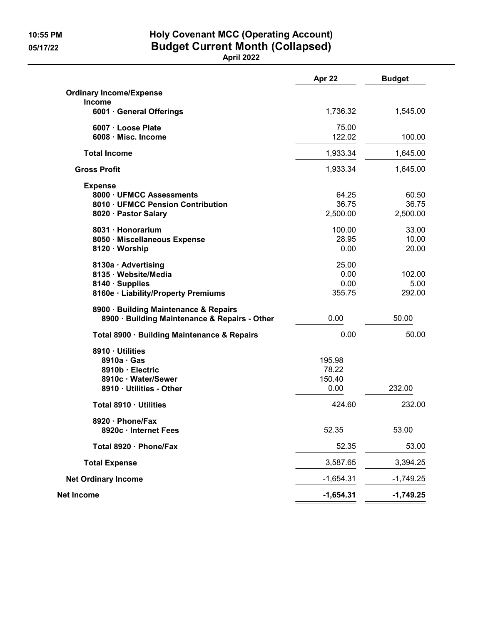### 10:55 PM Holy Covenant MCC (Operating Account) 05/17/22 Budget Current Month (Collapsed)

April 2022

|                                                                                        | Apr 22      | <b>Budget</b> |
|----------------------------------------------------------------------------------------|-------------|---------------|
| <b>Ordinary Income/Expense</b>                                                         |             |               |
| <b>Income</b><br>6001 · General Offerings                                              | 1,736.32    | 1,545.00      |
| 6007 · Loose Plate                                                                     | 75.00       |               |
| 6008 Misc. Income                                                                      | 122.02      | 100.00        |
| <b>Total Income</b>                                                                    | 1,933.34    | 1,645.00      |
| <b>Gross Profit</b>                                                                    | 1,933.34    | 1,645.00      |
| <b>Expense</b>                                                                         |             |               |
| 8000 · UFMCC Assessments                                                               | 64.25       | 60.50         |
| 8010 · UFMCC Pension Contribution                                                      | 36.75       | 36.75         |
| 8020 · Pastor Salary                                                                   | 2,500.00    | 2,500.00      |
| 8031 · Honorarium                                                                      | 100.00      | 33.00         |
| 8050 · Miscellaneous Expense                                                           | 28.95       | 10.00         |
| 8120 · Worship                                                                         | 0.00        | 20.00         |
| 8130a · Advertising                                                                    | 25.00       |               |
| 8135 · Website/Media                                                                   | 0.00        | 102.00        |
| 8140 · Supplies                                                                        | 0.00        | 5.00          |
| 8160e · Liability/Property Premiums                                                    | 355.75      | 292.00        |
| 8900 · Building Maintenance & Repairs<br>8900 · Building Maintenance & Repairs - Other | 0.00        | 50.00         |
| Total 8900 · Building Maintenance & Repairs                                            | 0.00        | 50.00         |
| 8910 · Utilities                                                                       |             |               |
| $8910a \cdot Gas$                                                                      | 195.98      |               |
| 8910b · Electric                                                                       | 78.22       |               |
| 8910c · Water/Sewer                                                                    | 150.40      |               |
| 8910 · Utilities - Other                                                               | 0.00        | 232.00        |
| Total 8910 · Utilities                                                                 | 424.60      | 232.00        |
| 8920 · Phone/Fax                                                                       |             |               |
| 8920c · Internet Fees                                                                  | 52.35       | 53.00         |
| Total 8920 · Phone/Fax                                                                 | 52.35       | 53.00         |
| <b>Total Expense</b>                                                                   | 3,587.65    | 3,394.25      |
| <b>Net Ordinary Income</b>                                                             | $-1,654.31$ | $-1,749.25$   |
| Net Income                                                                             | $-1,654.31$ | $-1,749.25$   |
|                                                                                        |             |               |